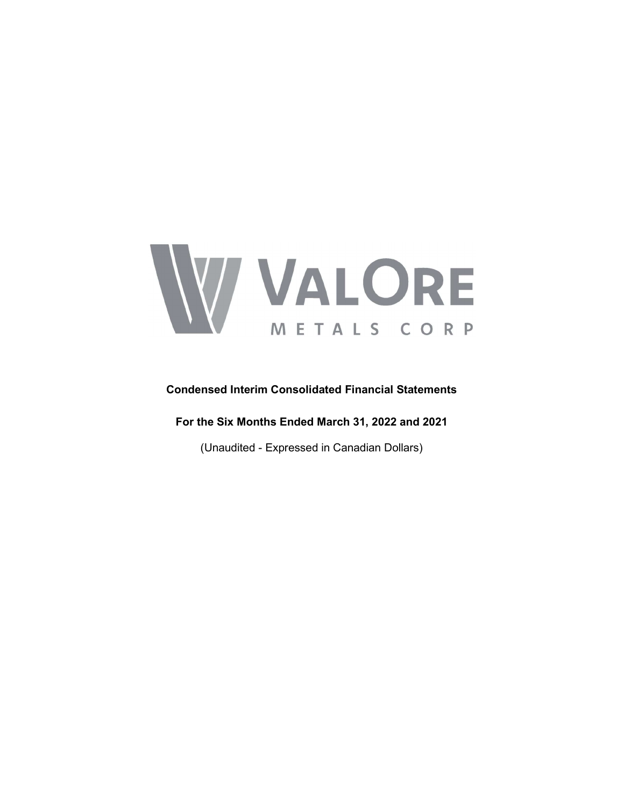

# Condensed Interim Consolidated Financial Statements

For the Six Months Ended March 31, 2022 and 2021

(Unaudited - Expressed in Canadian Dollars)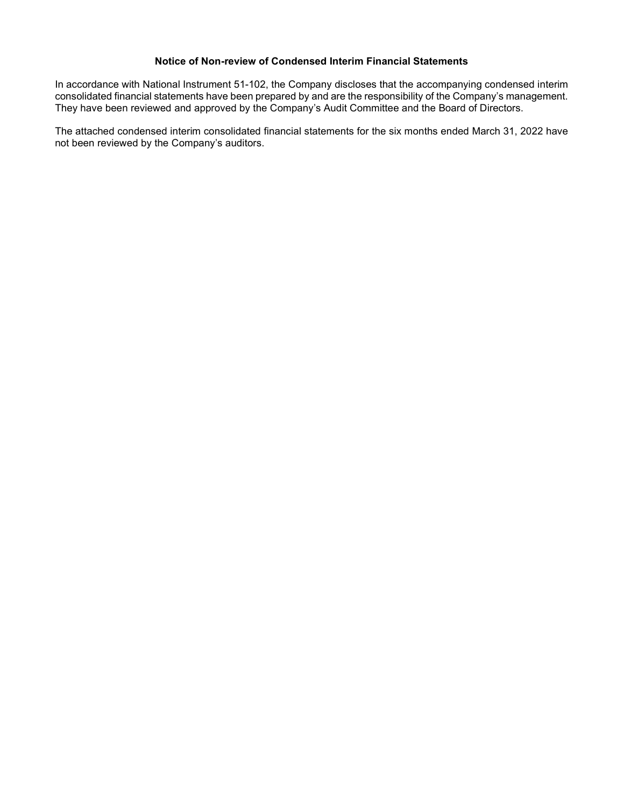## Notice of Non-review of Condensed Interim Financial Statements

In accordance with National Instrument 51-102, the Company discloses that the accompanying condensed interim consolidated financial statements have been prepared by and are the responsibility of the Company's management. They have been reviewed and approved by the Company's Audit Committee and the Board of Directors.

The attached condensed interim consolidated financial statements for the six months ended March 31, 2022 have not been reviewed by the Company's auditors.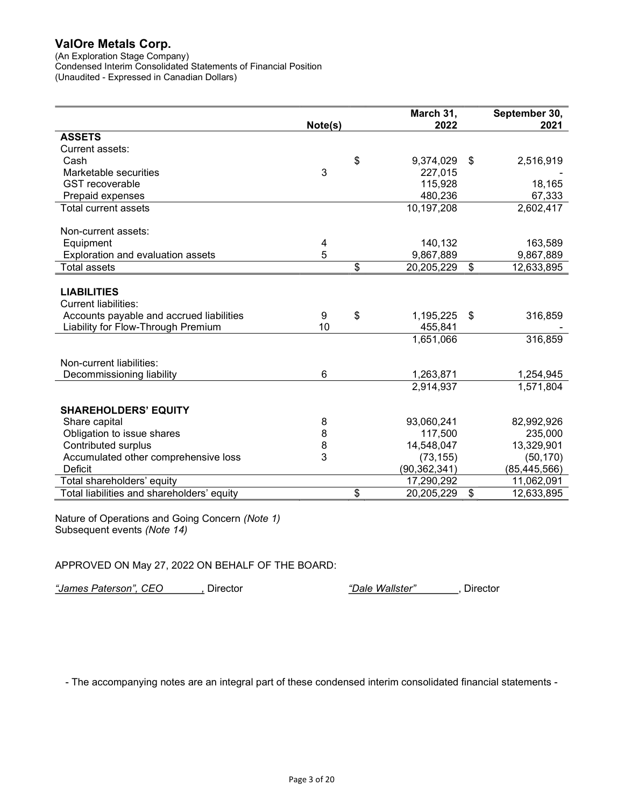(An Exploration Stage Company)

Condensed Interim Consolidated Statements of Financial Position

(Unaudited - Expressed in Canadian Dollars)

|                                            |         | March 31,        |                           | September 30, |
|--------------------------------------------|---------|------------------|---------------------------|---------------|
|                                            | Note(s) | 2022             |                           | 2021          |
| <b>ASSETS</b>                              |         |                  |                           |               |
| Current assets:                            |         |                  |                           |               |
| Cash                                       |         | \$<br>9,374,029  | $\boldsymbol{\mathsf{s}}$ | 2,516,919     |
| Marketable securities                      | 3       | 227,015          |                           |               |
| <b>GST</b> recoverable                     |         | 115,928          |                           | 18,165        |
| Prepaid expenses                           |         | 480,236          |                           | 67,333        |
| Total current assets                       |         | 10,197,208       |                           | 2,602,417     |
| Non-current assets:                        |         |                  |                           |               |
| Equipment                                  | 4       | 140,132          |                           | 163,589       |
| Exploration and evaluation assets          | 5       | 9,867,889        |                           | 9,867,889     |
| <b>Total assets</b>                        |         | \$<br>20,205,229 | $\mathfrak{L}$            | 12,633,895    |
|                                            |         |                  |                           |               |
| <b>LIABILITIES</b>                         |         |                  |                           |               |
| <b>Current liabilities:</b>                |         |                  |                           |               |
| Accounts payable and accrued liabilities   | 9       | \$<br>1,195,225  | \$                        | 316,859       |
| Liability for Flow-Through Premium         | 10      | 455,841          |                           |               |
|                                            |         | 1,651,066        |                           | 316,859       |
|                                            |         |                  |                           |               |
| Non-current liabilities:                   |         |                  |                           |               |
| Decommissioning liability                  | 6       | 1,263,871        |                           | 1,254,945     |
|                                            |         | 2,914,937        |                           | 1,571,804     |
|                                            |         |                  |                           |               |
| <b>SHAREHOLDERS' EQUITY</b>                |         |                  |                           |               |
| Share capital                              | 8       | 93,060,241       |                           | 82,992,926    |
| Obligation to issue shares                 | 8       | 117,500          |                           | 235,000       |
| <b>Contributed surplus</b>                 | 8       | 14,548,047       |                           | 13,329,901    |
| Accumulated other comprehensive loss       | 3       | (73, 155)        |                           | (50, 170)     |
| <b>Deficit</b>                             |         | (90, 362, 341)   |                           | (85,445,566)  |
| Total shareholders' equity                 |         | 17,290,292       |                           | 11,062,091    |
| Total liabilities and shareholders' equity |         | \$<br>20,205,229 | \$                        | 12,633,895    |

Nature of Operations and Going Concern (Note 1) Subsequent events (Note 14)

# APPROVED ON May 27, 2022 ON BEHALF OF THE BOARD:

"James Paterson", CEO , Director (Dale Wallster" , Director "Dale Wallster" , Director

- The accompanying notes are an integral part of these condensed interim consolidated financial statements -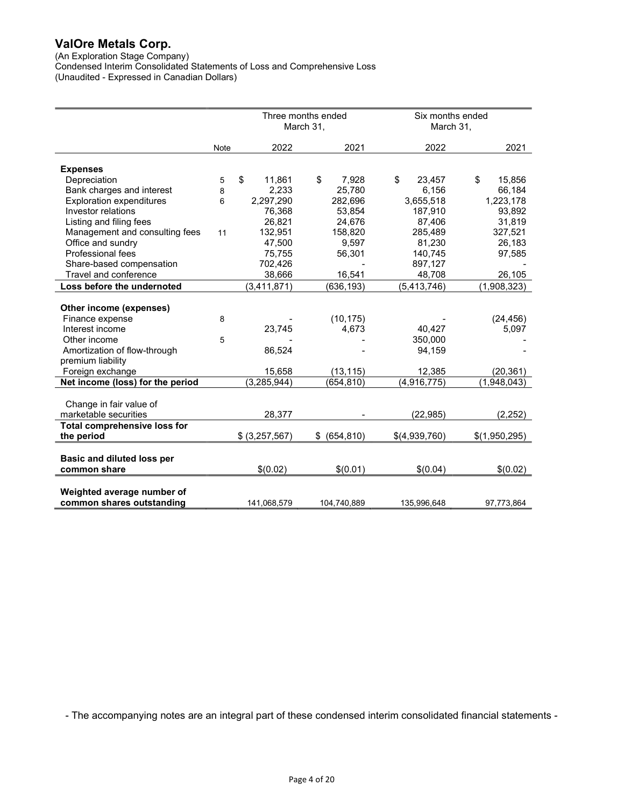(An Exploration Stage Company)

Condensed Interim Consolidated Statements of Loss and Comprehensive Loss

(Unaudited - Expressed in Canadian Dollars)

| <b>Note</b> | 2022                        | 2021                                                                                                                                                                                                                            | 2022                                                                                                                                                                                                                                          | 2021                                                                                                                                                                                                                                                                            |
|-------------|-----------------------------|---------------------------------------------------------------------------------------------------------------------------------------------------------------------------------------------------------------------------------|-----------------------------------------------------------------------------------------------------------------------------------------------------------------------------------------------------------------------------------------------|---------------------------------------------------------------------------------------------------------------------------------------------------------------------------------------------------------------------------------------------------------------------------------|
|             |                             |                                                                                                                                                                                                                                 |                                                                                                                                                                                                                                               |                                                                                                                                                                                                                                                                                 |
|             |                             |                                                                                                                                                                                                                                 |                                                                                                                                                                                                                                               | \$<br>15,856                                                                                                                                                                                                                                                                    |
|             |                             |                                                                                                                                                                                                                                 |                                                                                                                                                                                                                                               | 66,184                                                                                                                                                                                                                                                                          |
|             |                             |                                                                                                                                                                                                                                 |                                                                                                                                                                                                                                               | 1,223,178                                                                                                                                                                                                                                                                       |
|             |                             |                                                                                                                                                                                                                                 |                                                                                                                                                                                                                                               | 93,892                                                                                                                                                                                                                                                                          |
|             |                             |                                                                                                                                                                                                                                 |                                                                                                                                                                                                                                               | 31,819                                                                                                                                                                                                                                                                          |
|             |                             |                                                                                                                                                                                                                                 |                                                                                                                                                                                                                                               | 327,521                                                                                                                                                                                                                                                                         |
|             |                             |                                                                                                                                                                                                                                 |                                                                                                                                                                                                                                               | 26,183                                                                                                                                                                                                                                                                          |
|             |                             |                                                                                                                                                                                                                                 |                                                                                                                                                                                                                                               | 97,585                                                                                                                                                                                                                                                                          |
|             |                             |                                                                                                                                                                                                                                 |                                                                                                                                                                                                                                               |                                                                                                                                                                                                                                                                                 |
|             |                             |                                                                                                                                                                                                                                 |                                                                                                                                                                                                                                               | 26,105                                                                                                                                                                                                                                                                          |
|             |                             |                                                                                                                                                                                                                                 |                                                                                                                                                                                                                                               |                                                                                                                                                                                                                                                                                 |
|             |                             |                                                                                                                                                                                                                                 |                                                                                                                                                                                                                                               | (1,908,323)                                                                                                                                                                                                                                                                     |
|             |                             |                                                                                                                                                                                                                                 |                                                                                                                                                                                                                                               |                                                                                                                                                                                                                                                                                 |
|             |                             |                                                                                                                                                                                                                                 |                                                                                                                                                                                                                                               |                                                                                                                                                                                                                                                                                 |
|             |                             |                                                                                                                                                                                                                                 |                                                                                                                                                                                                                                               | (24, 456)                                                                                                                                                                                                                                                                       |
|             |                             |                                                                                                                                                                                                                                 |                                                                                                                                                                                                                                               | 5,097                                                                                                                                                                                                                                                                           |
|             |                             |                                                                                                                                                                                                                                 |                                                                                                                                                                                                                                               |                                                                                                                                                                                                                                                                                 |
|             |                             |                                                                                                                                                                                                                                 |                                                                                                                                                                                                                                               |                                                                                                                                                                                                                                                                                 |
|             |                             |                                                                                                                                                                                                                                 |                                                                                                                                                                                                                                               |                                                                                                                                                                                                                                                                                 |
|             |                             |                                                                                                                                                                                                                                 |                                                                                                                                                                                                                                               | (20, 361)                                                                                                                                                                                                                                                                       |
|             |                             |                                                                                                                                                                                                                                 |                                                                                                                                                                                                                                               | (1,948,043)                                                                                                                                                                                                                                                                     |
|             |                             |                                                                                                                                                                                                                                 |                                                                                                                                                                                                                                               |                                                                                                                                                                                                                                                                                 |
|             |                             |                                                                                                                                                                                                                                 |                                                                                                                                                                                                                                               | (2, 252)                                                                                                                                                                                                                                                                        |
|             |                             |                                                                                                                                                                                                                                 |                                                                                                                                                                                                                                               |                                                                                                                                                                                                                                                                                 |
|             |                             |                                                                                                                                                                                                                                 |                                                                                                                                                                                                                                               | \$(1,950,295)                                                                                                                                                                                                                                                                   |
|             |                             |                                                                                                                                                                                                                                 |                                                                                                                                                                                                                                               |                                                                                                                                                                                                                                                                                 |
|             |                             |                                                                                                                                                                                                                                 |                                                                                                                                                                                                                                               |                                                                                                                                                                                                                                                                                 |
|             |                             |                                                                                                                                                                                                                                 |                                                                                                                                                                                                                                               | \$(0.02)                                                                                                                                                                                                                                                                        |
|             |                             |                                                                                                                                                                                                                                 |                                                                                                                                                                                                                                               |                                                                                                                                                                                                                                                                                 |
|             |                             |                                                                                                                                                                                                                                 |                                                                                                                                                                                                                                               |                                                                                                                                                                                                                                                                                 |
|             |                             |                                                                                                                                                                                                                                 |                                                                                                                                                                                                                                               | 97,773,864                                                                                                                                                                                                                                                                      |
|             | 5<br>8<br>6<br>11<br>8<br>5 | \$<br>11,861<br>2,233<br>2,297,290<br>76,368<br>26,821<br>132,951<br>47,500<br>75,755<br>702,426<br>38,666<br>(3,411,871)<br>23,745<br>86,524<br>15,658<br>(3, 285, 944)<br>28,377<br>\$ (3,257,567)<br>\$(0.02)<br>141,068,579 | Three months ended<br>March 31,<br>\$<br>7,928<br>25,780<br>282,696<br>53.854<br>24,676<br>158,820<br>9,597<br>56,301<br>16,541<br>(636, 193)<br>(10, 175)<br>4,673<br>(13, 115)<br>(654, 810)<br>(654, 810)<br>\$<br>\$(0.01)<br>104,740,889 | Six months ended<br>March 31,<br>\$<br>23,457<br>6,156<br>3,655,518<br>187.910<br>87,406<br>285,489<br>81,230<br>140,745<br>897,127<br>48,708<br>(5, 413, 746)<br>40.427<br>350,000<br>94,159<br>12,385<br>(4,916,775)<br>(22, 985)<br>\$(4,939,760)<br>\$(0.04)<br>135,996,648 |

- The accompanying notes are an integral part of these condensed interim consolidated financial statements -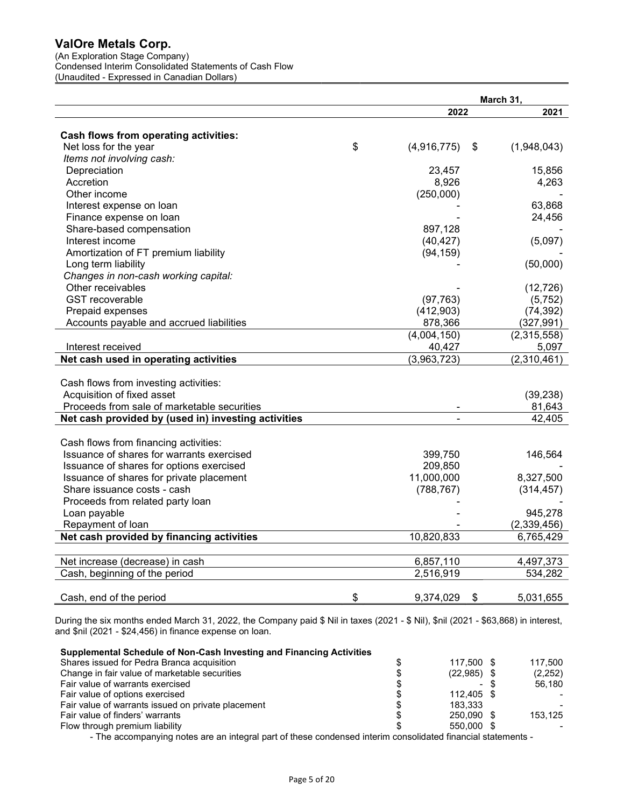#### (An Exploration Stage Company) Condensed Interim Consolidated Statements of Cash Flow

(Unaudited - Expressed in Canadian Dollars)

|                                                                |                   | March 31,         |
|----------------------------------------------------------------|-------------------|-------------------|
|                                                                | 2022              | 2021              |
|                                                                |                   |                   |
| Cash flows from operating activities:<br>Net loss for the year | \$<br>(4,916,775) | \$<br>(1,948,043) |
| Items not involving cash:                                      |                   |                   |
|                                                                |                   |                   |
| Depreciation                                                   | 23,457            | 15,856            |
| Accretion                                                      | 8,926             | 4,263             |
| Other income                                                   | (250,000)         |                   |
| Interest expense on loan                                       |                   | 63,868            |
| Finance expense on loan                                        |                   | 24,456            |
| Share-based compensation                                       | 897,128           |                   |
| Interest income                                                | (40, 427)         | (5,097)           |
| Amortization of FT premium liability                           | (94, 159)         |                   |
| Long term liability                                            |                   | (50,000)          |
| Changes in non-cash working capital:                           |                   |                   |
| Other receivables                                              |                   | (12, 726)         |
| <b>GST</b> recoverable                                         | (97, 763)         | (5, 752)          |
| Prepaid expenses                                               | (412,903)         | (74, 392)         |
| Accounts payable and accrued liabilities                       | 878,366           | (327, 991)        |
|                                                                | (4,004,150)       | (2,315,558)       |
| Interest received                                              | 40,427            | 5,097             |
| Net cash used in operating activities                          | (3,963,723)       | (2,310,461)       |
|                                                                |                   |                   |
| Cash flows from investing activities:                          |                   |                   |
| Acquisition of fixed asset                                     |                   | (39, 238)         |
| Proceeds from sale of marketable securities                    |                   | 81,643            |
| Net cash provided by (used in) investing activities            |                   | 42,405            |
|                                                                |                   |                   |
| Cash flows from financing activities:                          |                   |                   |
| Issuance of shares for warrants exercised                      | 399,750           | 146,564           |
| Issuance of shares for options exercised                       | 209,850           |                   |
| Issuance of shares for private placement                       | 11,000,000        | 8,327,500         |
| Share issuance costs - cash                                    | (788, 767)        | (314, 457)        |
| Proceeds from related party loan                               |                   |                   |
| Loan payable                                                   |                   | 945,278           |
| Repayment of loan                                              |                   | (2,339,456)       |
|                                                                |                   |                   |
| Net cash provided by financing activities                      | 10,820,833        | 6,765,429         |
|                                                                |                   |                   |
| Net increase (decrease) in cash                                | 6,857,110         | 4,497,373         |
| Cash, beginning of the period                                  | 2,516,919         | 534,282           |
|                                                                |                   |                   |
| Cash, end of the period                                        | \$<br>9,374,029   | \$<br>5,031,655   |

During the six months ended March 31, 2022, the Company paid \$ Nil in taxes (2021 - \$ Nil), \$nil (2021 - \$63,868) in interest, and \$nil (2021 - \$24,456) in finance expense on loan.

### Supplemental Schedule of Non-Cash Investing and Financing Activities

| Shares issued for Pedra Branca acquisition         | 117.500 \$    | 117.500 |
|----------------------------------------------------|---------------|---------|
| Change in fair value of marketable securities      | $(22,985)$ \$ | (2,252) |
| Fair value of warrants exercised                   | - \$          | 56.180  |
| Fair value of options exercised                    | 112.405 \$    |         |
| Fair value of warrants issued on private placement | 183.333       |         |
| Fair value of finders' warrants                    | 250.090 \$    | 153.125 |
| Flow through premium liability                     | 550,000 \$    |         |
|                                                    |               |         |

- The accompanying notes are an integral part of these condensed interim consolidated financial statements -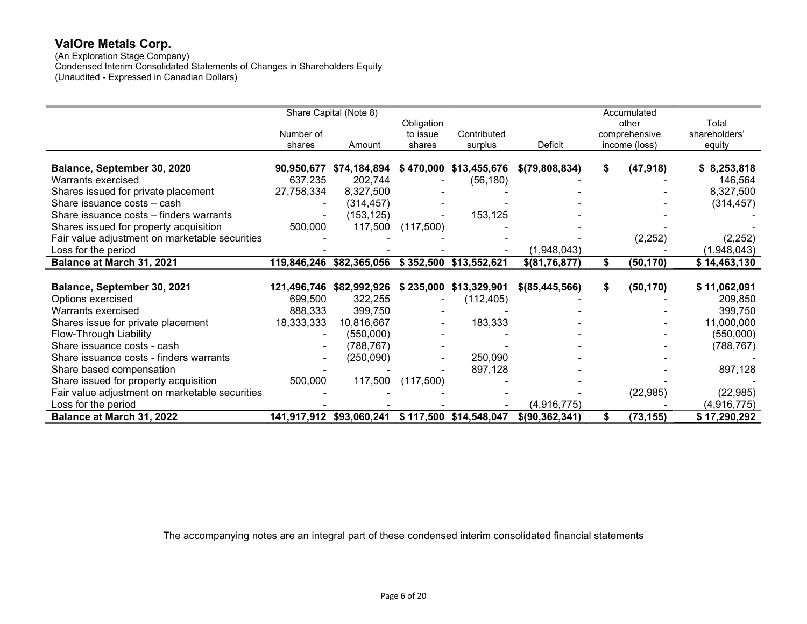(An Exploration Stage Company) Condensed Interim Consolidated Statements of Changes in Shareholders Equity (Unaudited - Expressed in Canadian Dollars)

|                                                |            | Share Capital (Note 8)   |            |                        |                  | Accumulated     |               |
|------------------------------------------------|------------|--------------------------|------------|------------------------|------------------|-----------------|---------------|
|                                                |            |                          | Obligation |                        |                  | other           | Total         |
|                                                | Number of  |                          | to issue   | Contributed            |                  | comprehensive   | shareholders' |
|                                                | shares     | Amount                   | shares     | surplus                | <b>Deficit</b>   | income (loss)   | equity        |
| Balance, September 30, 2020                    | 90,950,677 | \$74,184,894             |            | \$470,000 \$13,455,676 | \$(79,808,834)   | \$<br>(47, 918) | \$8,253,818   |
| Warrants exercised                             | 637,235    | 202,744                  |            | (56, 180)              |                  |                 | 146,564       |
| Shares issued for private placement            | 27,758,334 | 8,327,500                |            |                        |                  |                 | 8,327,500     |
| Share issuance costs - cash                    |            | (314, 457)               |            |                        |                  |                 | (314, 457)    |
| Share issuance costs - finders warrants        |            | (153, 125)               |            | 153,125                |                  |                 |               |
| Shares issued for property acquisition         | 500,000    | 117,500                  | (117,500)  |                        |                  |                 |               |
| Fair value adjustment on marketable securities |            |                          |            |                        |                  | (2, 252)        | (2,252)       |
| Loss for the period                            |            |                          |            |                        | (1,948,043)      |                 | (1,948,043)   |
| Balance at March 31, 2021                      |            | 119,846,246 \$82,365,056 |            | \$352,500 \$13,552,621 | \$(81, 76, 877)  | \$<br>(50, 170) | \$14,463,130  |
|                                                |            |                          |            |                        |                  |                 |               |
| Balance, September 30, 2021                    |            | 121,496,746 \$82,992,926 | \$235,000  | \$13,329,901           | $$$ (85,445,566) | \$<br>(50, 170) | \$11,062,091  |
| Options exercised                              | 699,500    | 322,255                  |            | (112, 405)             |                  |                 | 209,850       |
| Warrants exercised                             | 888,333    | 399,750                  |            |                        |                  |                 | 399,750       |
| Shares issue for private placement             | 18,333,333 | 10,816,667               |            | 183,333                |                  |                 | 11,000,000    |
| Flow-Through Liability                         |            | (550,000)                |            |                        |                  |                 | (550,000)     |
| Share issuance costs - cash                    |            | (788, 767)               |            |                        |                  |                 | (788, 767)    |
| Share issuance costs - finders warrants        |            | (250,090)                |            | 250,090                |                  |                 |               |
| Share based compensation                       |            |                          |            | 897,128                |                  |                 | 897,128       |
| Share issued for property acquisition          | 500,000    | 117,500                  | (117,500)  |                        |                  |                 |               |
| Fair value adjustment on marketable securities |            |                          |            |                        |                  | (22, 985)       | (22, 985)     |
| Loss for the period                            |            |                          |            |                        | (4,916,775)      |                 | (4,916,775)   |
| Balance at March 31, 2022                      |            | 141,917,912 \$93,060,241 |            | \$117,500 \$14,548,047 | \$(90, 362, 341) | \$<br>(73, 155) | \$17,290,292  |

The accompanying notes are an integral part of these condensed interim consolidated financial statements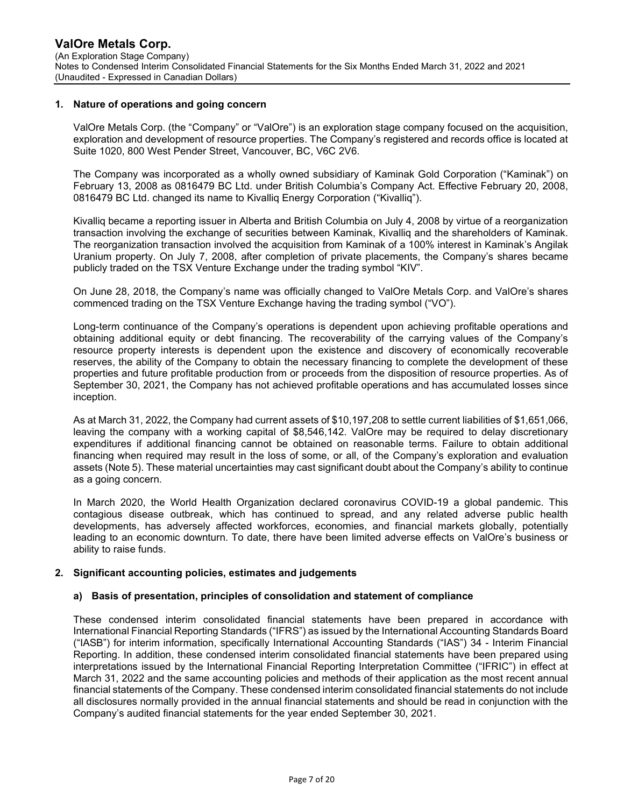### 1. Nature of operations and going concern

ValOre Metals Corp. (the "Company" or "ValOre") is an exploration stage company focused on the acquisition, exploration and development of resource properties. The Company's registered and records office is located at Suite 1020, 800 West Pender Street, Vancouver, BC, V6C 2V6.

The Company was incorporated as a wholly owned subsidiary of Kaminak Gold Corporation ("Kaminak") on February 13, 2008 as 0816479 BC Ltd. under British Columbia's Company Act. Effective February 20, 2008, 0816479 BC Ltd. changed its name to Kivalliq Energy Corporation ("Kivalliq").

Kivalliq became a reporting issuer in Alberta and British Columbia on July 4, 2008 by virtue of a reorganization transaction involving the exchange of securities between Kaminak, Kivalliq and the shareholders of Kaminak. The reorganization transaction involved the acquisition from Kaminak of a 100% interest in Kaminak's Angilak Uranium property. On July 7, 2008, after completion of private placements, the Company's shares became publicly traded on the TSX Venture Exchange under the trading symbol "KIV".

On June 28, 2018, the Company's name was officially changed to ValOre Metals Corp. and ValOre's shares commenced trading on the TSX Venture Exchange having the trading symbol ("VO").

Long-term continuance of the Company's operations is dependent upon achieving profitable operations and obtaining additional equity or debt financing. The recoverability of the carrying values of the Company's resource property interests is dependent upon the existence and discovery of economically recoverable reserves, the ability of the Company to obtain the necessary financing to complete the development of these properties and future profitable production from or proceeds from the disposition of resource properties. As of September 30, 2021, the Company has not achieved profitable operations and has accumulated losses since inception.

As at March 31, 2022, the Company had current assets of \$10,197,208 to settle current liabilities of \$1,651,066, leaving the company with a working capital of \$8,546,142. ValOre may be required to delay discretionary expenditures if additional financing cannot be obtained on reasonable terms. Failure to obtain additional financing when required may result in the loss of some, or all, of the Company's exploration and evaluation assets (Note 5). These material uncertainties may cast significant doubt about the Company's ability to continue as a going concern.

In March 2020, the World Health Organization declared coronavirus COVID-19 a global pandemic. This contagious disease outbreak, which has continued to spread, and any related adverse public health developments, has adversely affected workforces, economies, and financial markets globally, potentially leading to an economic downturn. To date, there have been limited adverse effects on ValOre's business or ability to raise funds.

#### 2. Significant accounting policies, estimates and judgements

## a) Basis of presentation, principles of consolidation and statement of compliance

These condensed interim consolidated financial statements have been prepared in accordance with International Financial Reporting Standards ("IFRS") as issued by the International Accounting Standards Board ("IASB") for interim information, specifically International Accounting Standards ("IAS") 34 - Interim Financial Reporting. In addition, these condensed interim consolidated financial statements have been prepared using interpretations issued by the International Financial Reporting Interpretation Committee ("IFRIC") in effect at March 31, 2022 and the same accounting policies and methods of their application as the most recent annual financial statements of the Company. These condensed interim consolidated financial statements do not include all disclosures normally provided in the annual financial statements and should be read in conjunction with the Company's audited financial statements for the year ended September 30, 2021.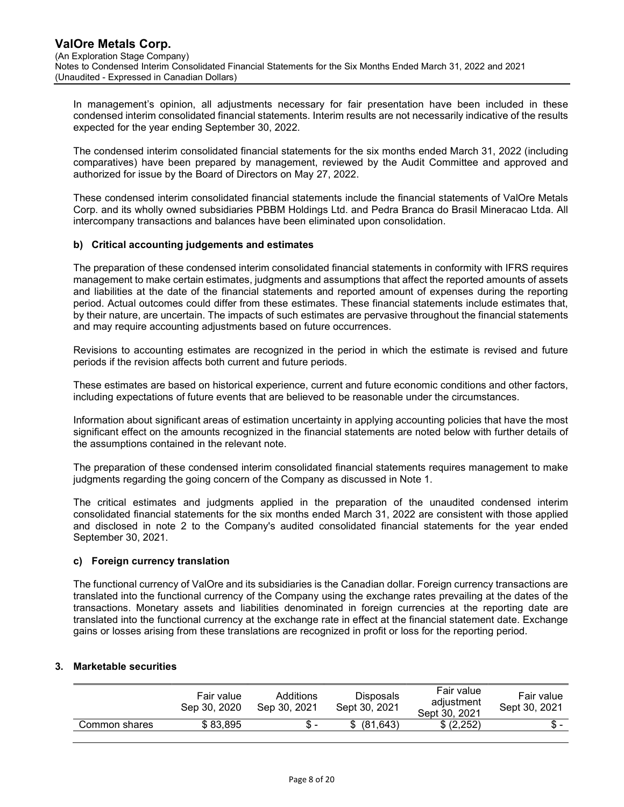In management's opinion, all adjustments necessary for fair presentation have been included in these condensed interim consolidated financial statements. Interim results are not necessarily indicative of the results expected for the year ending September 30, 2022.

The condensed interim consolidated financial statements for the six months ended March 31, 2022 (including comparatives) have been prepared by management, reviewed by the Audit Committee and approved and authorized for issue by the Board of Directors on May 27, 2022.

These condensed interim consolidated financial statements include the financial statements of ValOre Metals Corp. and its wholly owned subsidiaries PBBM Holdings Ltd. and Pedra Branca do Brasil Mineracao Ltda. All intercompany transactions and balances have been eliminated upon consolidation.

## b) Critical accounting judgements and estimates

The preparation of these condensed interim consolidated financial statements in conformity with IFRS requires management to make certain estimates, judgments and assumptions that affect the reported amounts of assets and liabilities at the date of the financial statements and reported amount of expenses during the reporting period. Actual outcomes could differ from these estimates. These financial statements include estimates that, by their nature, are uncertain. The impacts of such estimates are pervasive throughout the financial statements and may require accounting adjustments based on future occurrences.

Revisions to accounting estimates are recognized in the period in which the estimate is revised and future periods if the revision affects both current and future periods.

These estimates are based on historical experience, current and future economic conditions and other factors, including expectations of future events that are believed to be reasonable under the circumstances.

Information about significant areas of estimation uncertainty in applying accounting policies that have the most significant effect on the amounts recognized in the financial statements are noted below with further details of the assumptions contained in the relevant note.

The preparation of these condensed interim consolidated financial statements requires management to make judgments regarding the going concern of the Company as discussed in Note 1.

The critical estimates and judgments applied in the preparation of the unaudited condensed interim consolidated financial statements for the six months ended March 31, 2022 are consistent with those applied and disclosed in note 2 to the Company's audited consolidated financial statements for the year ended September 30, 2021.

#### c) Foreign currency translation

The functional currency of ValOre and its subsidiaries is the Canadian dollar. Foreign currency transactions are translated into the functional currency of the Company using the exchange rates prevailing at the dates of the transactions. Monetary assets and liabilities denominated in foreign currencies at the reporting date are translated into the functional currency at the exchange rate in effect at the financial statement date. Exchange gains or losses arising from these translations are recognized in profit or loss for the reporting period.

## 3. Marketable securities

| Fair value<br>Sep 30, 2020 | Additions<br>Sep 30, 2021 | Disposals<br>Sept 30, 2021 | Fair value<br>adiustment<br>Sept 30, 2021 | Fair value<br>Sept 30, 2021 |
|----------------------------|---------------------------|----------------------------|-------------------------------------------|-----------------------------|
| \$83.895<br>Common shares  |                           | (81.643)<br>\$.            | \$(2.252)                                 | Տ. -                        |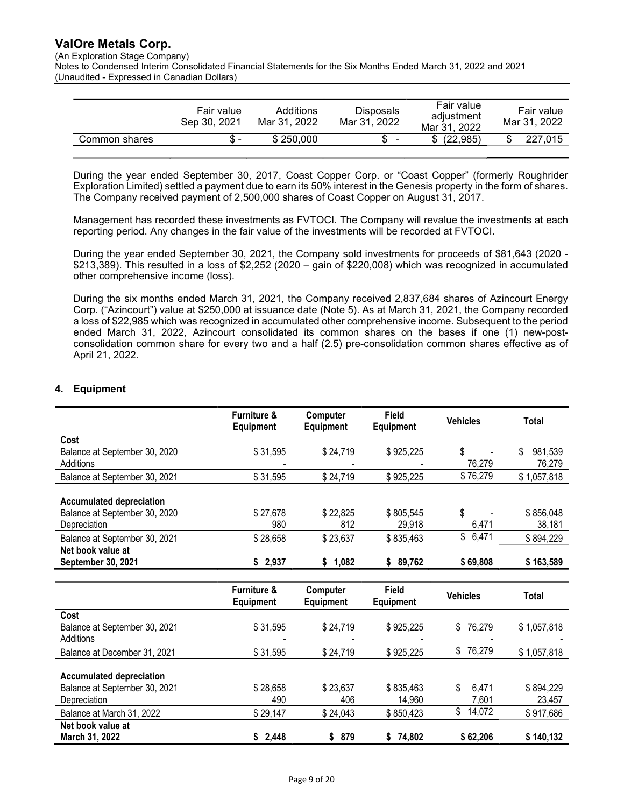(An Exploration Stage Company)

Notes to Condensed Interim Consolidated Financial Statements for the Six Months Ended March 31, 2022 and 2021 (Unaudited - Expressed in Canadian Dollars)

|               | Fair value<br>Sep 30, 2021 | Additions<br>Mar 31, 2022 | <b>Disposals</b><br>Mar 31, 2022 | Fair value<br>adiustment<br>Mar 31, 2022 | Fair value<br>Mar 31, 2022 |
|---------------|----------------------------|---------------------------|----------------------------------|------------------------------------------|----------------------------|
| Common shares |                            | \$250,000                 | -                                | \$(22.985)                               | 227.015                    |

During the year ended September 30, 2017, Coast Copper Corp. or "Coast Copper" (formerly Roughrider Exploration Limited) settled a payment due to earn its 50% interest in the Genesis property in the form of shares. The Company received payment of 2,500,000 shares of Coast Copper on August 31, 2017.

Management has recorded these investments as FVTOCI. The Company will revalue the investments at each reporting period. Any changes in the fair value of the investments will be recorded at FVTOCI.

During the year ended September 30, 2021, the Company sold investments for proceeds of \$81,643 (2020 - \$213,389). This resulted in a loss of \$2,252 (2020 – gain of \$220,008) which was recognized in accumulated other comprehensive income (loss).

During the six months ended March 31, 2021, the Company received 2,837,684 shares of Azincourt Energy Corp. ("Azincourt") value at \$250,000 at issuance date (Note 5). As at March 31, 2021, the Company recorded a loss of \$22,985 which was recognized in accumulated other comprehensive income. Subsequent to the period ended March 31, 2022, Azincourt consolidated its common shares on the bases if one (1) new-postconsolidation common share for every two and a half (2.5) pre-consolidation common shares effective as of April 21, 2022.

# 4. Equipment

|                                                                                  | <b>Furniture &amp;</b><br>Equipment | <b>Computer</b><br><b>Equipment</b> | Field<br>Equipment  | <b>Vehicles</b>                | Total                   |  |
|----------------------------------------------------------------------------------|-------------------------------------|-------------------------------------|---------------------|--------------------------------|-------------------------|--|
| Cost<br>Balance at September 30, 2020<br>Additions                               | \$31,595                            | \$24,719                            | \$925,225           | \$<br>$\blacksquare$<br>76.279 | 981,539<br>\$<br>76,279 |  |
| Balance at September 30, 2021                                                    | \$31,595                            | \$24,719                            | \$925,225           | \$76,279                       | \$1,057,818             |  |
| <b>Accumulated depreciation</b><br>Balance at September 30, 2020<br>Depreciation | \$27,678<br>980                     | \$22,825<br>812                     | \$805,545<br>29,918 | \$<br>6,471                    | \$856,048<br>38,181     |  |
| Balance at September 30, 2021                                                    | \$28,658                            | \$23,637                            | \$835,463           | \$6,471                        | \$894,229               |  |
| Net book value at<br>September 30, 2021                                          | 2,937<br>S.                         | 1,082<br>S.                         | 89,762<br>S.        | \$69,808                       | \$163,589               |  |

|                                                                                  | <b>Furniture &amp;</b><br><b>Equipment</b> | <b>Computer</b><br><b>Equipment</b> | <b>Field</b><br>Equipment | <b>Vehicles</b>      | Total               |
|----------------------------------------------------------------------------------|--------------------------------------------|-------------------------------------|---------------------------|----------------------|---------------------|
| Cost<br>Balance at September 30, 2021                                            | \$31,595                                   | \$24,719                            | \$925,225                 | \$76,279             | \$1,057,818         |
| Additions                                                                        | $\overline{\phantom{0}}$                   |                                     |                           |                      |                     |
| Balance at December 31, 2021                                                     | \$31,595                                   | \$24,719                            | \$925,225                 | 76,279<br>\$         | \$1,057,818         |
| <b>Accumulated depreciation</b><br>Balance at September 30, 2021<br>Depreciation | \$28,658<br>490                            | \$23,637<br>406                     | \$835,463<br>14,960       | \$<br>6,471<br>7,601 | \$894,229<br>23,457 |
| Balance at March 31, 2022                                                        | \$29,147                                   | \$24,043                            | \$850,423                 | \$<br>14,072         | \$917,686           |
| Net book value at                                                                |                                            |                                     |                           |                      |                     |
| March 31, 2022                                                                   | \$2,448                                    | 879<br>\$                           | 74,802<br>\$              | \$62,206             | \$140,132           |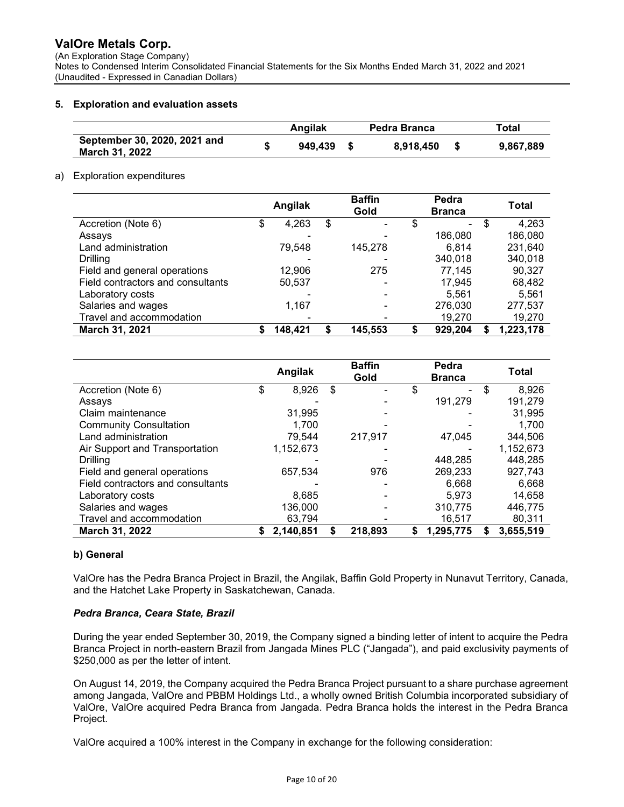(An Exploration Stage Company)

Notes to Condensed Interim Consolidated Financial Statements for the Six Months Ended March 31, 2022 and 2021 (Unaudited - Expressed in Canadian Dollars)

## 5. Exploration and evaluation assets

|                                                       | Angilak | Pedra Branca | Total     |
|-------------------------------------------------------|---------|--------------|-----------|
| September 30, 2020, 2021 and<br><b>March 31, 2022</b> | 949.439 | 8.918.450    | 9,867,889 |

## a) Exploration expenditures

|                                   | Angilak     |    | <b>Baffin</b><br>Gold | Pedra<br><b>Branca</b> | Total       |
|-----------------------------------|-------------|----|-----------------------|------------------------|-------------|
| Accretion (Note 6)                | \$<br>4,263 | \$ |                       | \$<br>٠                | \$<br>4,263 |
| Assays                            |             |    |                       | 186,080                | 186,080     |
| Land administration               | 79,548      |    | 145,278               | 6.814                  | 231,640     |
| <b>Drilling</b>                   |             |    |                       | 340,018                | 340,018     |
| Field and general operations      | 12,906      |    | 275                   | 77.145                 | 90,327      |
| Field contractors and consultants | 50,537      |    |                       | 17.945                 | 68,482      |
| Laboratory costs                  |             |    |                       | 5.561                  | 5,561       |
| Salaries and wages                | 1.167       |    |                       | 276,030                | 277,537     |
| Travel and accommodation          |             |    |                       | 19,270                 | 19,270      |
| March 31, 2021                    | 148,421     | S  | 145,553               | 929,204                | 1,223,178   |

|                                   | Angilak         |    | <b>Baffin</b><br>Gold | Pedra<br><b>Branca</b> |    | Total     |
|-----------------------------------|-----------------|----|-----------------------|------------------------|----|-----------|
| Accretion (Note 6)                | \$<br>8,926     | \$ |                       | \$                     | \$ | 8,926     |
| Assays                            |                 |    |                       | 191,279                |    | 191,279   |
| Claim maintenance                 | 31,995          |    |                       |                        |    | 31,995    |
| <b>Community Consultation</b>     | 1.700           |    |                       |                        |    | 1.700     |
| Land administration               | 79,544          |    | 217,917               | 47,045                 |    | 344.506   |
| Air Support and Transportation    | 1,152,673       |    |                       |                        |    | 1,152,673 |
| Drilling                          |                 |    |                       | 448.285                |    | 448.285   |
| Field and general operations      | 657,534         |    | 976                   | 269,233                |    | 927,743   |
| Field contractors and consultants |                 |    |                       | 6.668                  |    | 6,668     |
| Laboratory costs                  | 8,685           |    |                       | 5.973                  |    | 14,658    |
| Salaries and wages                | 136,000         |    |                       | 310.775                |    | 446.775   |
| Travel and accommodation          | 63,794          |    |                       | 16,517                 |    | 80,311    |
| March 31, 2022                    | \$<br>2,140,851 | S  | 218,893               | \$<br>1,295,775        | S  | 3,655,519 |

# b) General

ValOre has the Pedra Branca Project in Brazil, the Angilak, Baffin Gold Property in Nunavut Territory, Canada, and the Hatchet Lake Property in Saskatchewan, Canada.

# Pedra Branca, Ceara State, Brazil

During the year ended September 30, 2019, the Company signed a binding letter of intent to acquire the Pedra Branca Project in north-eastern Brazil from Jangada Mines PLC ("Jangada"), and paid exclusivity payments of \$250,000 as per the letter of intent.

On August 14, 2019, the Company acquired the Pedra Branca Project pursuant to a share purchase agreement among Jangada, ValOre and PBBM Holdings Ltd., a wholly owned British Columbia incorporated subsidiary of ValOre, ValOre acquired Pedra Branca from Jangada. Pedra Branca holds the interest in the Pedra Branca Project.

ValOre acquired a 100% interest in the Company in exchange for the following consideration: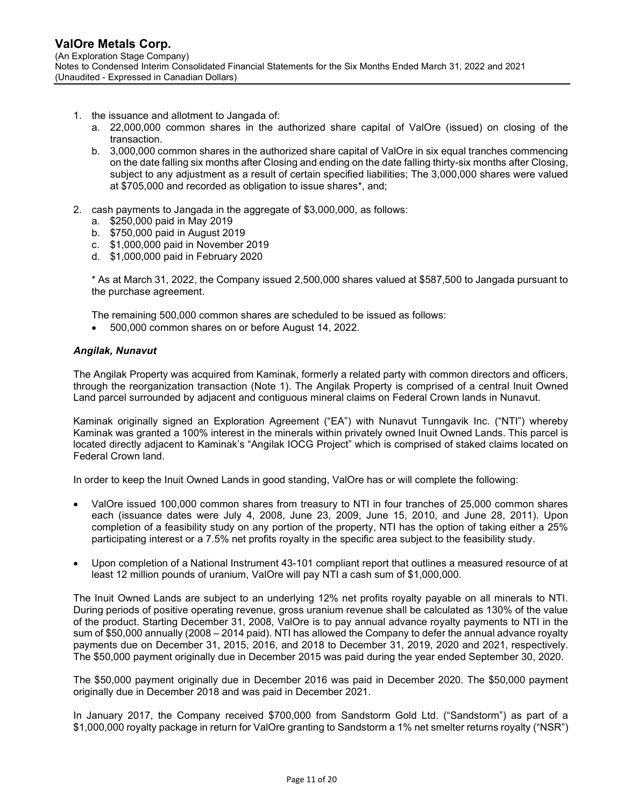- 1. the issuance and allotment to Jangada of:
	- a. 22,000,000 common shares in the authorized share capital of ValOre (issued) on closing of the transaction.
	- b. 3,000,000 common shares in the authorized share capital of ValOre in six equal tranches commencing on the date falling six months after Closing and ending on the date falling thirty-six months after Closing, subject to any adjustment as a result of certain specified liabilities; The 3,000,000 shares were valued at \$705,000 and recorded as obligation to issue shares\*, and;
- 2. cash payments to Jangada in the aggregate of \$3,000,000, as follows:
	- a. \$250,000 paid in May 2019
	- b. \$750,000 paid in August 2019
	- c. \$1,000,000 paid in November 2019
	- d. \$1,000,000 paid in February 2020

\* As at March 31, 2022, the Company issued 2,500,000 shares valued at \$587,500 to Jangada pursuant to the purchase agreement.

The remaining 500,000 common shares are scheduled to be issued as follows:

500,000 common shares on or before August 14, 2022.

## Angilak, Nunavut

The Angilak Property was acquired from Kaminak, formerly a related party with common directors and officers, through the reorganization transaction (Note 1). The Angilak Property is comprised of a central Inuit Owned Land parcel surrounded by adjacent and contiguous mineral claims on Federal Crown lands in Nunavut.

Kaminak originally signed an Exploration Agreement ("EA") with Nunavut Tunngavik Inc. ("NTI") whereby Kaminak was granted a 100% interest in the minerals within privately owned Inuit Owned Lands. This parcel is located directly adjacent to Kaminak's "Angilak IOCG Project" which is comprised of staked claims located on Federal Crown land.

In order to keep the Inuit Owned Lands in good standing, ValOre has or will complete the following:

- ValOre issued 100,000 common shares from treasury to NTI in four tranches of 25,000 common shares each (issuance dates were July 4, 2008, June 23, 2009, June 15, 2010, and June 28, 2011). Upon completion of a feasibility study on any portion of the property, NTI has the option of taking either a 25% participating interest or a 7.5% net profits royalty in the specific area subject to the feasibility study.
- Upon completion of a National Instrument 43-101 compliant report that outlines a measured resource of at least 12 million pounds of uranium, ValOre will pay NTI a cash sum of \$1,000,000.

The Inuit Owned Lands are subject to an underlying 12% net profits royalty payable on all minerals to NTI. During periods of positive operating revenue, gross uranium revenue shall be calculated as 130% of the value of the product. Starting December 31, 2008, ValOre is to pay annual advance royalty payments to NTI in the sum of \$50,000 annually (2008 – 2014 paid). NTI has allowed the Company to defer the annual advance royalty payments due on December 31, 2015, 2016, and 2018 to December 31, 2019, 2020 and 2021, respectively. The \$50,000 payment originally due in December 2015 was paid during the year ended September 30, 2020.

The \$50,000 payment originally due in December 2016 was paid in December 2020. The \$50,000 payment originally due in December 2018 and was paid in December 2021.

In January 2017, the Company received \$700,000 from Sandstorm Gold Ltd. ("Sandstorm") as part of a \$1,000,000 royalty package in return for ValOre granting to Sandstorm a 1% net smelter returns royalty ("NSR")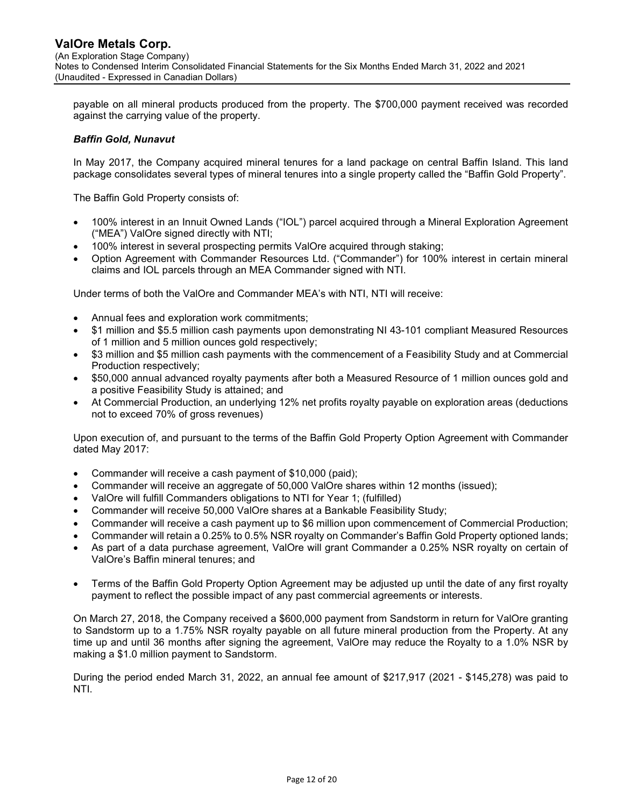payable on all mineral products produced from the property. The \$700,000 payment received was recorded against the carrying value of the property.

## Baffin Gold, Nunavut

In May 2017, the Company acquired mineral tenures for a land package on central Baffin Island. This land package consolidates several types of mineral tenures into a single property called the "Baffin Gold Property".

The Baffin Gold Property consists of:

- 100% interest in an Innuit Owned Lands ("IOL") parcel acquired through a Mineral Exploration Agreement ("MEA") ValOre signed directly with NTI;
- 100% interest in several prospecting permits ValOre acquired through staking;
- Option Agreement with Commander Resources Ltd. ("Commander") for 100% interest in certain mineral claims and IOL parcels through an MEA Commander signed with NTI.

Under terms of both the ValOre and Commander MEA's with NTI, NTI will receive:

- Annual fees and exploration work commitments;
- \$1 million and \$5.5 million cash payments upon demonstrating NI 43-101 compliant Measured Resources of 1 million and 5 million ounces gold respectively;
- \$3 million and \$5 million cash payments with the commencement of a Feasibility Study and at Commercial Production respectively;
- \$50,000 annual advanced royalty payments after both a Measured Resource of 1 million ounces gold and a positive Feasibility Study is attained; and
- At Commercial Production, an underlying 12% net profits royalty payable on exploration areas (deductions not to exceed 70% of gross revenues)

Upon execution of, and pursuant to the terms of the Baffin Gold Property Option Agreement with Commander dated May 2017:

- Commander will receive a cash payment of \$10,000 (paid);
- Commander will receive an aggregate of 50,000 ValOre shares within 12 months (issued);
- ValOre will fulfill Commanders obligations to NTI for Year 1; (fulfilled)
- Commander will receive 50,000 ValOre shares at a Bankable Feasibility Study;
- Commander will receive a cash payment up to \$6 million upon commencement of Commercial Production;
- Commander will retain a 0.25% to 0.5% NSR royalty on Commander's Baffin Gold Property optioned lands;
- As part of a data purchase agreement, ValOre will grant Commander a 0.25% NSR royalty on certain of ValOre's Baffin mineral tenures; and
- Terms of the Baffin Gold Property Option Agreement may be adjusted up until the date of any first royalty payment to reflect the possible impact of any past commercial agreements or interests.

On March 27, 2018, the Company received a \$600,000 payment from Sandstorm in return for ValOre granting to Sandstorm up to a 1.75% NSR royalty payable on all future mineral production from the Property. At any time up and until 36 months after signing the agreement, ValOre may reduce the Royalty to a 1.0% NSR by making a \$1.0 million payment to Sandstorm.

During the period ended March 31, 2022, an annual fee amount of \$217,917 (2021 - \$145,278) was paid to NTI.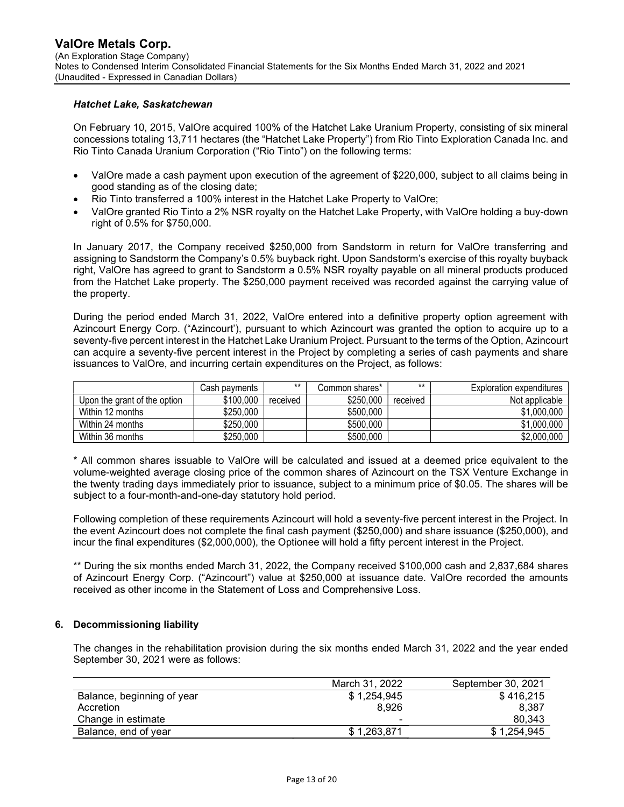### Hatchet Lake, Saskatchewan

On February 10, 2015, ValOre acquired 100% of the Hatchet Lake Uranium Property, consisting of six mineral concessions totaling 13,711 hectares (the "Hatchet Lake Property") from Rio Tinto Exploration Canada Inc. and Rio Tinto Canada Uranium Corporation ("Rio Tinto") on the following terms:

- ValOre made a cash payment upon execution of the agreement of \$220,000, subject to all claims being in good standing as of the closing date;
- Rio Tinto transferred a 100% interest in the Hatchet Lake Property to ValOre;
- ValOre granted Rio Tinto a 2% NSR royalty on the Hatchet Lake Property, with ValOre holding a buy-down right of 0.5% for \$750,000.

In January 2017, the Company received \$250,000 from Sandstorm in return for ValOre transferring and assigning to Sandstorm the Company's 0.5% buyback right. Upon Sandstorm's exercise of this royalty buyback right, ValOre has agreed to grant to Sandstorm a 0.5% NSR royalty payable on all mineral products produced from the Hatchet Lake property. The \$250,000 payment received was recorded against the carrying value of the property.

During the period ended March 31, 2022, ValOre entered into a definitive property option agreement with Azincourt Energy Corp. ("Azincourt'), pursuant to which Azincourt was granted the option to acquire up to a seventy-five percent interest in the Hatchet Lake Uranium Project. Pursuant to the terms of the Option, Azincourt can acquire a seventy-five percent interest in the Project by completing a series of cash payments and share issuances to ValOre, and incurring certain expenditures on the Project, as follows:

|                              | Cash payments | $***$    | Common shares* | $**$     | Exploration expenditures |
|------------------------------|---------------|----------|----------------|----------|--------------------------|
| Upon the grant of the option | \$100,000     | received | \$250,000      | received | Not applicable           |
| Within 12 months             | \$250,000     |          | \$500,000      |          | \$1,000,000              |
| Within 24 months             | \$250,000     |          | \$500,000      |          | \$1,000,000              |
| Within 36 months             | \$250,000     |          | \$500,000      |          | \$2,000,000              |

\* All common shares issuable to ValOre will be calculated and issued at a deemed price equivalent to the volume-weighted average closing price of the common shares of Azincourt on the TSX Venture Exchange in the twenty trading days immediately prior to issuance, subject to a minimum price of \$0.05. The shares will be subject to a four-month-and-one-day statutory hold period.

Following completion of these requirements Azincourt will hold a seventy-five percent interest in the Project. In the event Azincourt does not complete the final cash payment (\$250,000) and share issuance (\$250,000), and incur the final expenditures (\$2,000,000), the Optionee will hold a fifty percent interest in the Project.

\*\* During the six months ended March 31, 2022, the Company received \$100,000 cash and 2,837,684 shares of Azincourt Energy Corp. ("Azincourt") value at \$250,000 at issuance date. ValOre recorded the amounts received as other income in the Statement of Loss and Comprehensive Loss.

## 6. Decommissioning liability

The changes in the rehabilitation provision during the six months ended March 31, 2022 and the year ended September 30, 2021 were as follows:

|                            | March 31, 2022 | September 30, 2021 |
|----------------------------|----------------|--------------------|
| Balance, beginning of year | \$1,254,945    | \$416.215          |
| Accretion                  | 8.926          | 8.387              |
| Change in estimate         | -              | 80,343             |
| Balance, end of year       | \$1,263,871    | \$1,254,945        |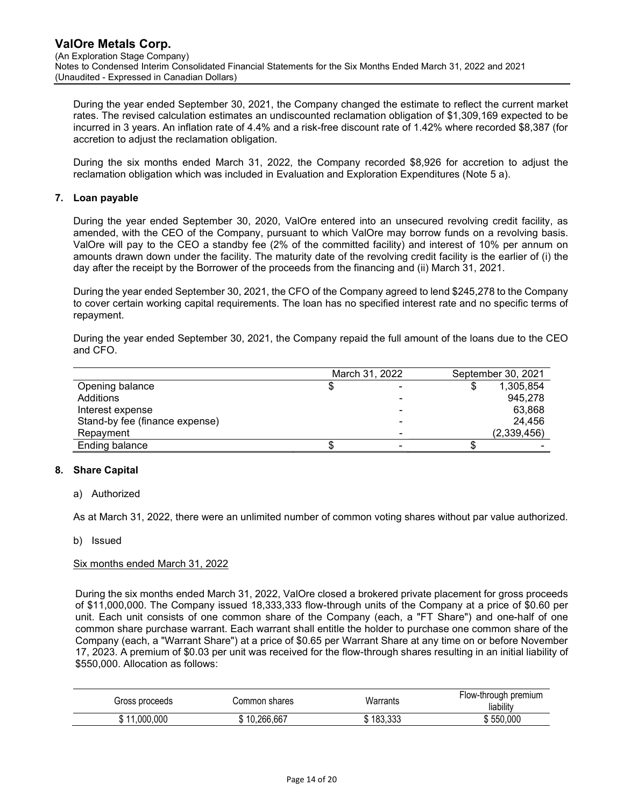During the year ended September 30, 2021, the Company changed the estimate to reflect the current market rates. The revised calculation estimates an undiscounted reclamation obligation of \$1,309,169 expected to be incurred in 3 years. An inflation rate of 4.4% and a risk-free discount rate of 1.42% where recorded \$8,387 (for accretion to adjust the reclamation obligation.

During the six months ended March 31, 2022, the Company recorded \$8,926 for accretion to adjust the reclamation obligation which was included in Evaluation and Exploration Expenditures (Note 5 a).

## 7. Loan payable

During the year ended September 30, 2020, ValOre entered into an unsecured revolving credit facility, as amended, with the CEO of the Company, pursuant to which ValOre may borrow funds on a revolving basis. ValOre will pay to the CEO a standby fee (2% of the committed facility) and interest of 10% per annum on amounts drawn down under the facility. The maturity date of the revolving credit facility is the earlier of (i) the day after the receipt by the Borrower of the proceeds from the financing and (ii) March 31, 2021.

During the year ended September 30, 2021, the CFO of the Company agreed to lend \$245,278 to the Company to cover certain working capital requirements. The loan has no specified interest rate and no specific terms of repayment.

During the year ended September 30, 2021, the Company repaid the full amount of the loans due to the CEO and CFO.

|                                | March 31, 2022 |                | September 30, 2021 |             |
|--------------------------------|----------------|----------------|--------------------|-------------|
| Opening balance                |                |                |                    | 1,305,854   |
| Additions                      |                |                |                    | 945,278     |
| Interest expense               |                | -              |                    | 63.868      |
| Stand-by fee (finance expense) |                | -              |                    | 24.456      |
| Repayment                      |                | $\blacksquare$ |                    | (2,339,456) |
| Ending balance                 |                |                |                    |             |

## 8. Share Capital

## a) Authorized

As at March 31, 2022, there were an unlimited number of common voting shares without par value authorized.

b) Issued

## Six months ended March 31, 2022

During the six months ended March 31, 2022, ValOre closed a brokered private placement for gross proceeds of \$11,000,000. The Company issued 18,333,333 flow-through units of the Company at a price of \$0.60 per unit. Each unit consists of one common share of the Company (each, a "FT Share") and one-half of one common share purchase warrant. Each warrant shall entitle the holder to purchase one common share of the Company (each, a "Warrant Share") at a price of \$0.65 per Warrant Share at any time on or before November 17, 2023. A premium of \$0.03 per unit was received for the flow-through shares resulting in an initial liability of \$550,000. Allocation as follows:

| Gross proceeds | Common shares | Warrants  | Flow-through premium<br>liability |
|----------------|---------------|-----------|-----------------------------------|
| \$11,000,000   | 10,266,667    | \$183.333 | \$550,000                         |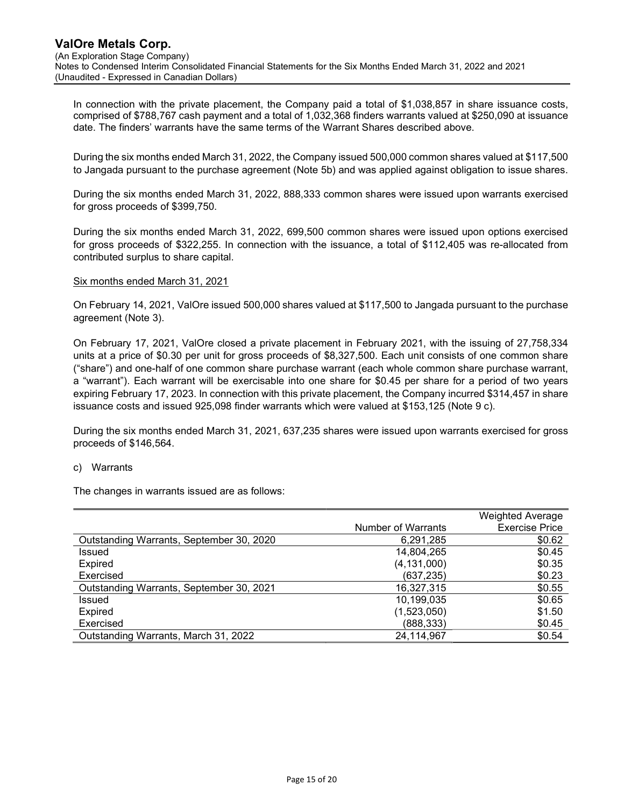In connection with the private placement, the Company paid a total of \$1,038,857 in share issuance costs, comprised of \$788,767 cash payment and a total of 1,032,368 finders warrants valued at \$250,090 at issuance date. The finders' warrants have the same terms of the Warrant Shares described above.

During the six months ended March 31, 2022, the Company issued 500,000 common shares valued at \$117,500 to Jangada pursuant to the purchase agreement (Note 5b) and was applied against obligation to issue shares.

During the six months ended March 31, 2022, 888,333 common shares were issued upon warrants exercised for gross proceeds of \$399,750.

During the six months ended March 31, 2022, 699,500 common shares were issued upon options exercised for gross proceeds of \$322,255. In connection with the issuance, a total of \$112,405 was re-allocated from contributed surplus to share capital.

## Six months ended March 31, 2021

On February 14, 2021, ValOre issued 500,000 shares valued at \$117,500 to Jangada pursuant to the purchase agreement (Note 3).

On February 17, 2021, ValOre closed a private placement in February 2021, with the issuing of 27,758,334 units at a price of \$0.30 per unit for gross proceeds of \$8,327,500. Each unit consists of one common share ("share") and one-half of one common share purchase warrant (each whole common share purchase warrant, a "warrant"). Each warrant will be exercisable into one share for \$0.45 per share for a period of two years expiring February 17, 2023. In connection with this private placement, the Company incurred \$314,457 in share issuance costs and issued 925,098 finder warrants which were valued at \$153,125 (Note 9 c).

During the six months ended March 31, 2021, 637,235 shares were issued upon warrants exercised for gross proceeds of \$146,564.

#### c) Warrants

The changes in warrants issued are as follows:

|                                          |                    | <b>Weighted Average</b> |
|------------------------------------------|--------------------|-------------------------|
|                                          | Number of Warrants | <b>Exercise Price</b>   |
| Outstanding Warrants, September 30, 2020 | 6,291,285          | \$0.62                  |
| Issued                                   | 14,804,265         | \$0.45                  |
| <b>Expired</b>                           | (4, 131, 000)      | \$0.35                  |
| Exercised                                | (637, 235)         | \$0.23                  |
| Outstanding Warrants, September 30, 2021 | 16,327,315         | \$0.55                  |
| Issued                                   | 10,199,035         | \$0.65                  |
| <b>Expired</b>                           | (1,523,050)        | \$1.50                  |
| Exercised                                | (888, 333)         | \$0.45                  |
| Outstanding Warrants, March 31, 2022     | 24,114,967         | \$0.54                  |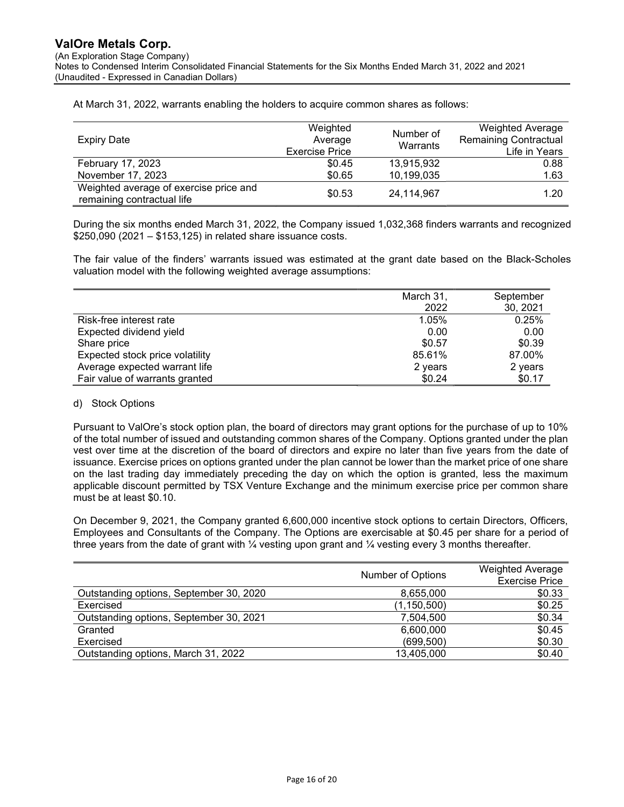At March 31, 2022, warrants enabling the holders to acquire common shares as follows:

| <b>Expiry Date</b>                                                   | Weighted<br>Average<br><b>Exercise Price</b> | Number of<br>Warrants | <b>Weighted Average</b><br><b>Remaining Contractual</b><br>Life in Years |
|----------------------------------------------------------------------|----------------------------------------------|-----------------------|--------------------------------------------------------------------------|
| February 17, 2023                                                    | \$0.45                                       | 13,915,932            | 0.88                                                                     |
| November 17, 2023                                                    | \$0.65                                       | 10,199,035            | 1.63                                                                     |
| Weighted average of exercise price and<br>remaining contractual life | \$0.53                                       | 24,114,967            | 1.20                                                                     |

During the six months ended March 31, 2022, the Company issued 1,032,368 finders warrants and recognized \$250,090 (2021 – \$153,125) in related share issuance costs.

The fair value of the finders' warrants issued was estimated at the grant date based on the Black-Scholes valuation model with the following weighted average assumptions:

|                                 | March 31, | September |
|---------------------------------|-----------|-----------|
|                                 | 2022      | 30, 2021  |
| Risk-free interest rate         | 1.05%     | 0.25%     |
| Expected dividend yield         | 0.00      | 0.00      |
| Share price                     | \$0.57    | \$0.39    |
| Expected stock price volatility | 85.61%    | 87.00%    |
| Average expected warrant life   | 2 years   | 2 years   |
| Fair value of warrants granted  | \$0.24    | \$0.17    |

### d) Stock Options

Pursuant to ValOre's stock option plan, the board of directors may grant options for the purchase of up to 10% of the total number of issued and outstanding common shares of the Company. Options granted under the plan vest over time at the discretion of the board of directors and expire no later than five years from the date of issuance. Exercise prices on options granted under the plan cannot be lower than the market price of one share on the last trading day immediately preceding the day on which the option is granted, less the maximum applicable discount permitted by TSX Venture Exchange and the minimum exercise price per common share must be at least \$0.10.

On December 9, 2021, the Company granted 6,600,000 incentive stock options to certain Directors, Officers, Employees and Consultants of the Company. The Options are exercisable at \$0.45 per share for a period of three years from the date of grant with  $\frac{1}{4}$  vesting upon grant and  $\frac{1}{4}$  vesting every 3 months thereafter.

|                                         | Number of Options | <b>Weighted Average</b><br><b>Exercise Price</b> |
|-----------------------------------------|-------------------|--------------------------------------------------|
| Outstanding options, September 30, 2020 | 8,655,000         | \$0.33                                           |
| Exercised                               | (1,150,500)       | \$0.25                                           |
| Outstanding options, September 30, 2021 | 7,504,500         | \$0.34                                           |
| Granted                                 | 6,600,000         | \$0.45                                           |
| Exercised                               | (699, 500)        | \$0.30                                           |
| Outstanding options, March 31, 2022     | 13,405,000        | \$0.40                                           |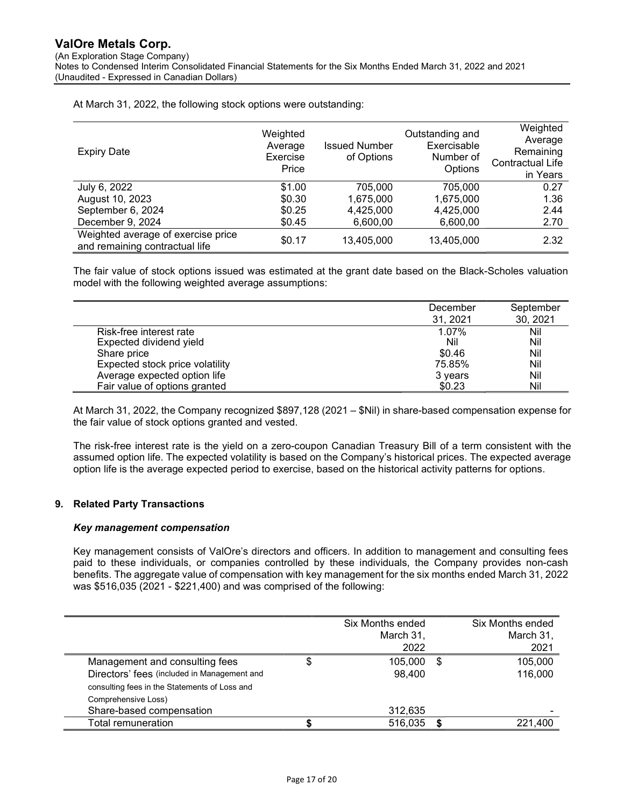At March 31, 2022, the following stock options were outstanding:

| <b>Expiry Date</b>                                                   | Weighted<br>Average<br>Exercise<br>Price | <b>Issued Number</b><br>of Options | Outstanding and<br>Exercisable<br>Number of<br>Options | Weighted<br>Average<br>Remaining<br>Contractual Life<br>in Years |
|----------------------------------------------------------------------|------------------------------------------|------------------------------------|--------------------------------------------------------|------------------------------------------------------------------|
| July 6, 2022                                                         | \$1.00                                   | 705,000                            | 705,000                                                | 0.27                                                             |
| August 10, 2023                                                      | \$0.30                                   | 1,675,000                          | 1,675,000                                              | 1.36                                                             |
| September 6, 2024                                                    | \$0.25                                   | 4,425,000                          | 4,425,000                                              | 2.44                                                             |
| December 9, 2024                                                     | \$0.45                                   | 6,600,00                           | 6,600,00                                               | 2.70                                                             |
| Weighted average of exercise price<br>and remaining contractual life | \$0.17                                   | 13,405,000                         | 13,405,000                                             | 2.32                                                             |

The fair value of stock options issued was estimated at the grant date based on the Black-Scholes valuation model with the following weighted average assumptions:

|                                 | December | September |
|---------------------------------|----------|-----------|
|                                 | 31, 2021 | 30, 2021  |
| Risk-free interest rate         | 1.07%    | Nil       |
| Expected dividend yield         | Nil      | Nil       |
| Share price                     | \$0.46   | Nil       |
| Expected stock price volatility | 75.85%   | Nil       |
| Average expected option life    | 3 years  | Nil       |
| Fair value of options granted   | \$0.23   | Nil       |

At March 31, 2022, the Company recognized \$897,128 (2021 – \$Nil) in share-based compensation expense for the fair value of stock options granted and vested.

The risk-free interest rate is the yield on a zero-coupon Canadian Treasury Bill of a term consistent with the assumed option life. The expected volatility is based on the Company's historical prices. The expected average option life is the average expected period to exercise, based on the historical activity patterns for options.

## 9. Related Party Transactions

#### Key management compensation

Key management consists of ValOre's directors and officers. In addition to management and consulting fees paid to these individuals, or companies controlled by these individuals, the Company provides non-cash benefits. The aggregate value of compensation with key management for the six months ended March 31, 2022 was \$516,035 (2021 - \$221,400) and was comprised of the following:

|                                               | Six Months ended<br>March 31, | Six Months ended<br>March 31, |
|-----------------------------------------------|-------------------------------|-------------------------------|
|                                               | 2022                          | 2021                          |
| Management and consulting fees                | 105,000                       | \$<br>105,000                 |
| Directors' fees (included in Management and   | 98,400                        | 116,000                       |
| consulting fees in the Statements of Loss and |                               |                               |
| Comprehensive Loss)                           |                               |                               |
| Share-based compensation                      | 312,635                       |                               |
| Total remuneration                            | 516,035                       | 221.400                       |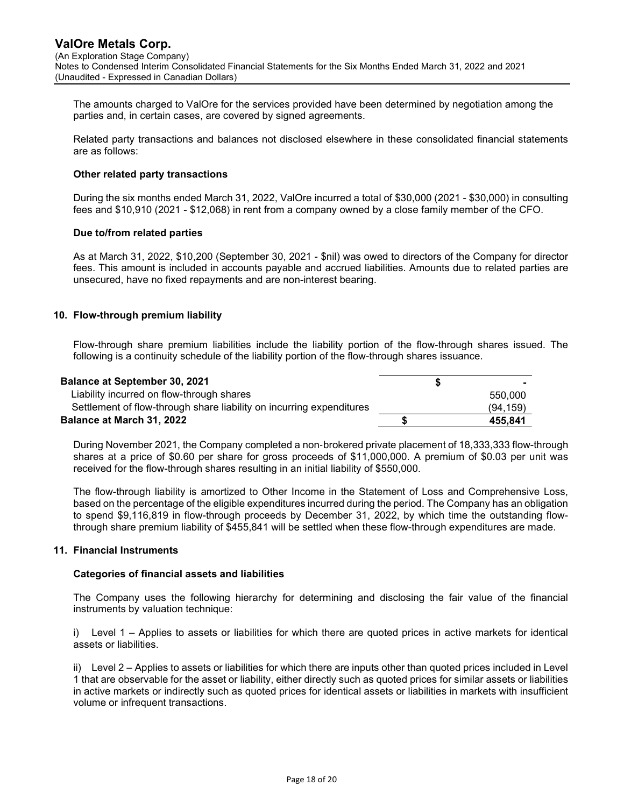The amounts charged to ValOre for the services provided have been determined by negotiation among the parties and, in certain cases, are covered by signed agreements.

Related party transactions and balances not disclosed elsewhere in these consolidated financial statements are as follows:

### Other related party transactions

During the six months ended March 31, 2022, ValOre incurred a total of \$30,000 (2021 - \$30,000) in consulting fees and \$10,910 (2021 - \$12,068) in rent from a company owned by a close family member of the CFO.

#### Due to/from related parties

As at March 31, 2022, \$10,200 (September 30, 2021 - \$nil) was owed to directors of the Company for director fees. This amount is included in accounts payable and accrued liabilities. Amounts due to related parties are unsecured, have no fixed repayments and are non-interest bearing.

## 10. Flow-through premium liability

Flow-through share premium liabilities include the liability portion of the flow-through shares issued. The following is a continuity schedule of the liability portion of the flow-through shares issuance.

| <b>Balance at September 30, 2021</b>                                 |  |          |
|----------------------------------------------------------------------|--|----------|
| Liability incurred on flow-through shares                            |  | 550,000  |
| Settlement of flow-through share liability on incurring expenditures |  | (94.159) |
| <b>Balance at March 31, 2022</b>                                     |  | 455.841  |

During November 2021, the Company completed a non‐brokered private placement of 18,333,333 flow-through shares at a price of \$0.60 per share for gross proceeds of \$11,000,000. A premium of \$0.03 per unit was received for the flow-through shares resulting in an initial liability of \$550,000.

The flow-through liability is amortized to Other Income in the Statement of Loss and Comprehensive Loss, based on the percentage of the eligible expenditures incurred during the period. The Company has an obligation to spend \$9,116,819 in flow-through proceeds by December 31, 2022, by which time the outstanding flowthrough share premium liability of \$455,841 will be settled when these flow-through expenditures are made.

#### 11. Financial Instruments

#### Categories of financial assets and liabilities

The Company uses the following hierarchy for determining and disclosing the fair value of the financial instruments by valuation technique:

i) Level 1 – Applies to assets or liabilities for which there are quoted prices in active markets for identical assets or liabilities.

ii) Level 2 – Applies to assets or liabilities for which there are inputs other than quoted prices included in Level 1 that are observable for the asset or liability, either directly such as quoted prices for similar assets or liabilities in active markets or indirectly such as quoted prices for identical assets or liabilities in markets with insufficient volume or infrequent transactions.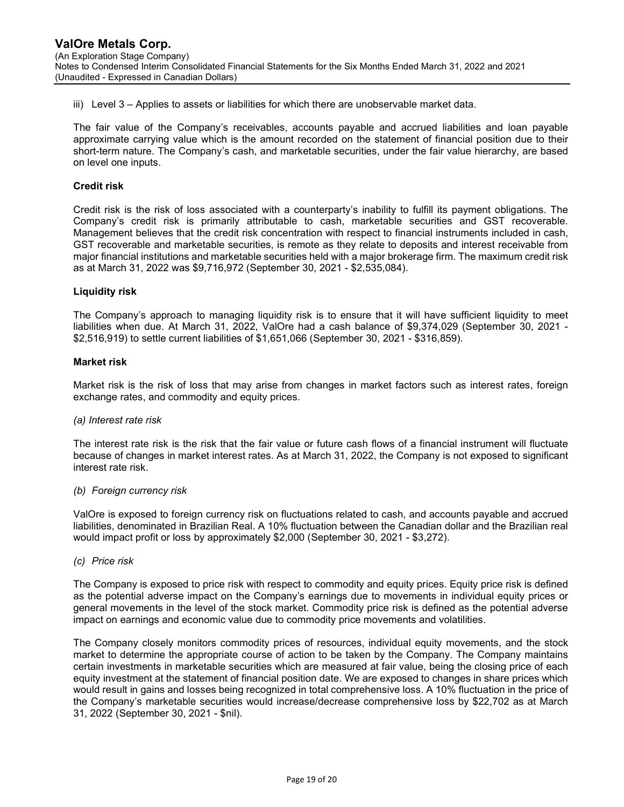iii) Level 3 – Applies to assets or liabilities for which there are unobservable market data.

The fair value of the Company's receivables, accounts payable and accrued liabilities and loan payable approximate carrying value which is the amount recorded on the statement of financial position due to their short-term nature. The Company's cash, and marketable securities, under the fair value hierarchy, are based on level one inputs.

#### Credit risk

Credit risk is the risk of loss associated with a counterparty's inability to fulfill its payment obligations. The Company's credit risk is primarily attributable to cash, marketable securities and GST recoverable. Management believes that the credit risk concentration with respect to financial instruments included in cash, GST recoverable and marketable securities, is remote as they relate to deposits and interest receivable from major financial institutions and marketable securities held with a major brokerage firm. The maximum credit risk as at March 31, 2022 was \$9,716,972 (September 30, 2021 - \$2,535,084).

### Liquidity risk

The Company's approach to managing liquidity risk is to ensure that it will have sufficient liquidity to meet liabilities when due. At March 31, 2022, ValOre had a cash balance of \$9,374,029 (September 30, 2021 - \$2,516,919) to settle current liabilities of \$1,651,066 (September 30, 2021 - \$316,859).

### Market risk

Market risk is the risk of loss that may arise from changes in market factors such as interest rates, foreign exchange rates, and commodity and equity prices.

#### (a) Interest rate risk

The interest rate risk is the risk that the fair value or future cash flows of a financial instrument will fluctuate because of changes in market interest rates. As at March 31, 2022, the Company is not exposed to significant interest rate risk.

## (b) Foreign currency risk

ValOre is exposed to foreign currency risk on fluctuations related to cash, and accounts payable and accrued liabilities, denominated in Brazilian Real. A 10% fluctuation between the Canadian dollar and the Brazilian real would impact profit or loss by approximately \$2,000 (September 30, 2021 - \$3,272).

#### (c) Price risk

The Company is exposed to price risk with respect to commodity and equity prices. Equity price risk is defined as the potential adverse impact on the Company's earnings due to movements in individual equity prices or general movements in the level of the stock market. Commodity price risk is defined as the potential adverse impact on earnings and economic value due to commodity price movements and volatilities.

The Company closely monitors commodity prices of resources, individual equity movements, and the stock market to determine the appropriate course of action to be taken by the Company. The Company maintains certain investments in marketable securities which are measured at fair value, being the closing price of each equity investment at the statement of financial position date. We are exposed to changes in share prices which would result in gains and losses being recognized in total comprehensive loss. A 10% fluctuation in the price of the Company's marketable securities would increase/decrease comprehensive loss by \$22,702 as at March 31, 2022 (September 30, 2021 - \$nil).